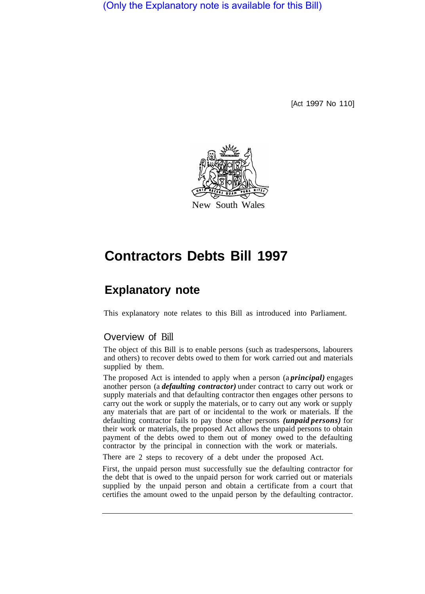(Only the Explanatory note is available for this Bill)

[Act 1997 No 110]



# **Contractors Debts Bill 1997**

# **Explanatory note**

This explanatory note relates to this Bill as introduced into Parliament.

## Overview of Bill

The object of this Bill is to enable persons (such as tradespersons, labourers and others) to recover debts owed to them for work carried out and materials supplied by them.

The proposed Act is intended to apply when a person (a *principal)* engages another person (a *defaulting contractor)* under contract to carry out work or supply materials and that defaulting contractor then engages other persons to carry out the work or supply the materials, or to carry out any work or supply any materials that are part of or incidental to the work or materials. If the defaulting contractor fails to pay those other persons *(unpaid persons)* for their work or materials, the proposed Act allows the unpaid persons to obtain payment of the debts owed to them out of money owed to the defaulting contractor by the principal in connection with the work or materials.

There are 2 steps to recovery of a debt under the proposed Act.

First, the unpaid person must successfully sue the defaulting contractor for the debt that is owed to the unpaid person for work carried out or materials supplied by the unpaid person and obtain a certificate from a court that certifies the amount owed to the unpaid person by the defaulting contractor.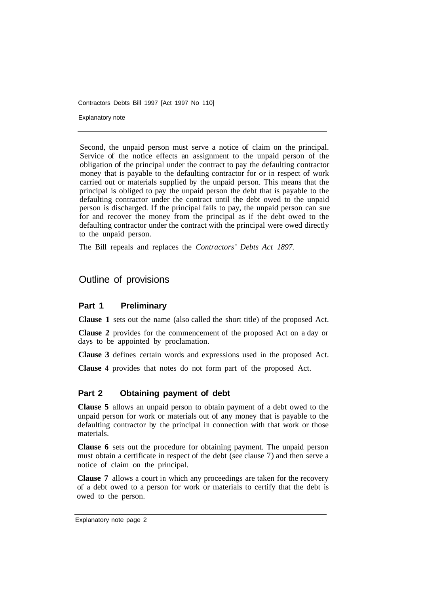Contractors Debts Bill 1997 [Act 1997 No 110]

Explanatory note

Second, the unpaid person must serve a notice of claim on the principal. Service of the notice effects an assignment to the unpaid person of the obligation of the principal under the contract to pay the defaulting contractor money that is payable to the defaulting contractor for or in respect of work carried out or materials supplied by the unpaid person. This means that the principal is obliged to pay the unpaid person the debt that is payable to the defaulting contractor under the contract until the debt owed to the unpaid person is discharged. If the principal fails to pay, the unpaid person can sue for and recover the money from the principal as if the debt owed to the defaulting contractor under the contract with the principal were owed directly to the unpaid person.

The Bill repeals and replaces the *Contractors' Debts Act 1897.* 

# Outline of provisions

### **Part 1 Preliminary**

**Clause 1** sets out the name (also called the short title) of the proposed Act.

**Clause 2** provides for the commencement of the proposed Act on a day or days to be appointed by proclamation.

**Clause 3** defines certain words and expressions used in the proposed Act.

**Clause 4** provides that notes do not form part of the proposed Act.

### **Part 2 Obtaining payment of debt**

**Clause 5** allows an unpaid person to obtain payment of a debt owed to the unpaid person for work or materials out of any money that is payable to the defaulting contractor by the principal in connection with that work or those materials.

**Clause 6** sets out the procedure for obtaining payment. The unpaid person must obtain a certificate in respect of the debt (see clause 7) and then serve a notice of claim on the principal.

**Clause 7** allows a court in which any proceedings are taken for the recovery of a debt owed to a person for work or materials to certify that the debt is owed to the person.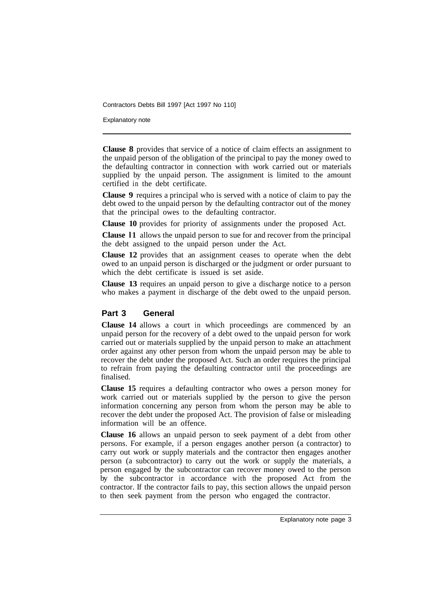Contractors Debts Bill 1997 [Act 1997 No 110]

Explanatory note

**Clause 8** provides that service of a notice of claim effects an assignment to the unpaid person of the obligation of the principal to pay the money owed to the defaulting contractor in connection with work carried out or materials supplied by the unpaid person. The assignment is limited to the amount certified in the debt certificate.

**Clause 9** requires a principal who is served with a notice of claim to pay the debt owed to the unpaid person by the defaulting contractor out of the money that the principal owes to the defaulting contractor.

**Clause 10** provides for priority of assignments under the proposed Act.

**Clause l1** allows the unpaid person to sue for and recover from the principal the debt assigned to the unpaid person under the Act.

**Clause 12** provides that an assignment ceases to operate when the debt owed to an unpaid person is discharged or the judgment or order pursuant to which the debt certificate is issued is set aside.

**Clause 13** requires an unpaid person to give a discharge notice to a person who makes a payment in discharge of the debt owed to the unpaid person.

### **Part 3 General**

**Clause 14** allows a court in which proceedings are commenced by an unpaid person for the recovery of a debt owed to the unpaid person for work carried out or materials supplied by the unpaid person to make an attachment order against any other person from whom the unpaid person may be able to recover the debt under the proposed Act. Such an order requires the principal to refrain from paying the defaulting contractor until the proceedings are finalised.

**Clause 15** requires a defaulting contractor who owes a person money for work carried out or materials supplied by the person to give the person information concerning any person from whom the person may be able to recover the debt under the proposed Act. The provision of false or misleading information will be an offence.

**Clause 16** allows an unpaid person to seek payment of a debt from other persons. For example, if a person engages another person (a contractor) to carry out work or supply materials and the contractor then engages another person (a subcontractor) to carry out the work or supply the materials, a person engaged by the subcontractor can recover money owed to the person by the subcontractor in accordance with the proposed Act from the contractor. If the contractor fails to pay, this section allows the unpaid person to then seek payment from the person who engaged the contractor.